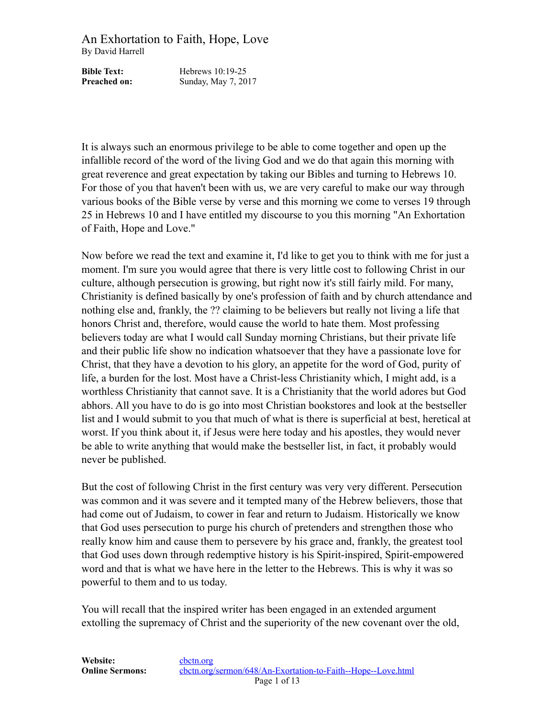**Bible Text:** Hebrews 10:19-25 **Preached on:** Sunday, May 7, 2017

It is always such an enormous privilege to be able to come together and open up the infallible record of the word of the living God and we do that again this morning with great reverence and great expectation by taking our Bibles and turning to Hebrews 10. For those of you that haven't been with us, we are very careful to make our way through various books of the Bible verse by verse and this morning we come to verses 19 through 25 in Hebrews 10 and I have entitled my discourse to you this morning "An Exhortation of Faith, Hope and Love."

Now before we read the text and examine it, I'd like to get you to think with me for just a moment. I'm sure you would agree that there is very little cost to following Christ in our culture, although persecution is growing, but right now it's still fairly mild. For many, Christianity is defined basically by one's profession of faith and by church attendance and nothing else and, frankly, the ?? claiming to be believers but really not living a life that honors Christ and, therefore, would cause the world to hate them. Most professing believers today are what I would call Sunday morning Christians, but their private life and their public life show no indication whatsoever that they have a passionate love for Christ, that they have a devotion to his glory, an appetite for the word of God, purity of life, a burden for the lost. Most have a Christ-less Christianity which, I might add, is a worthless Christianity that cannot save. It is a Christianity that the world adores but God abhors. All you have to do is go into most Christian bookstores and look at the bestseller list and I would submit to you that much of what is there is superficial at best, heretical at worst. If you think about it, if Jesus were here today and his apostles, they would never be able to write anything that would make the bestseller list, in fact, it probably would never be published.

But the cost of following Christ in the first century was very very different. Persecution was common and it was severe and it tempted many of the Hebrew believers, those that had come out of Judaism, to cower in fear and return to Judaism. Historically we know that God uses persecution to purge his church of pretenders and strengthen those who really know him and cause them to persevere by his grace and, frankly, the greatest tool that God uses down through redemptive history is his Spirit-inspired, Spirit-empowered word and that is what we have here in the letter to the Hebrews. This is why it was so powerful to them and to us today.

You will recall that the inspired writer has been engaged in an extended argument extolling the supremacy of Christ and the superiority of the new covenant over the old,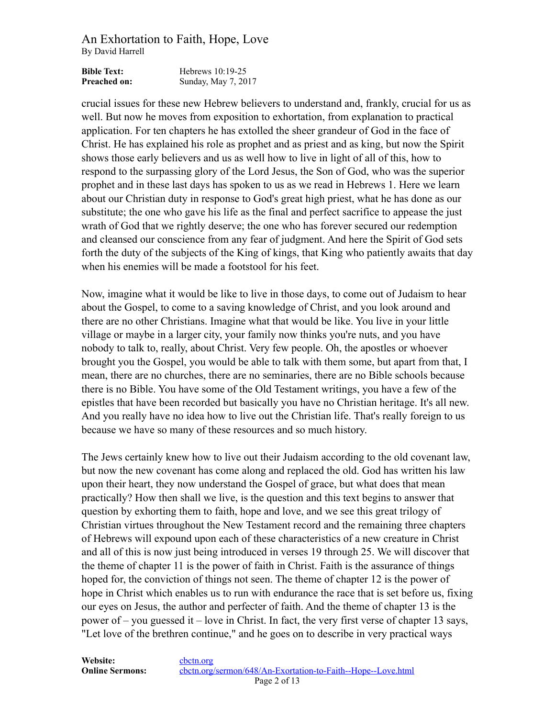| <b>Bible Text:</b>  | Hebrews $10:19-25$  |
|---------------------|---------------------|
| <b>Preached on:</b> | Sunday, May 7, 2017 |

crucial issues for these new Hebrew believers to understand and, frankly, crucial for us as well. But now he moves from exposition to exhortation, from explanation to practical application. For ten chapters he has extolled the sheer grandeur of God in the face of Christ. He has explained his role as prophet and as priest and as king, but now the Spirit shows those early believers and us as well how to live in light of all of this, how to respond to the surpassing glory of the Lord Jesus, the Son of God, who was the superior prophet and in these last days has spoken to us as we read in Hebrews 1. Here we learn about our Christian duty in response to God's great high priest, what he has done as our substitute; the one who gave his life as the final and perfect sacrifice to appease the just wrath of God that we rightly deserve; the one who has forever secured our redemption and cleansed our conscience from any fear of judgment. And here the Spirit of God sets forth the duty of the subjects of the King of kings, that King who patiently awaits that day when his enemies will be made a footstool for his feet.

Now, imagine what it would be like to live in those days, to come out of Judaism to hear about the Gospel, to come to a saving knowledge of Christ, and you look around and there are no other Christians. Imagine what that would be like. You live in your little village or maybe in a larger city, your family now thinks you're nuts, and you have nobody to talk to, really, about Christ. Very few people. Oh, the apostles or whoever brought you the Gospel, you would be able to talk with them some, but apart from that, I mean, there are no churches, there are no seminaries, there are no Bible schools because there is no Bible. You have some of the Old Testament writings, you have a few of the epistles that have been recorded but basically you have no Christian heritage. It's all new. And you really have no idea how to live out the Christian life. That's really foreign to us because we have so many of these resources and so much history.

The Jews certainly knew how to live out their Judaism according to the old covenant law, but now the new covenant has come along and replaced the old. God has written his law upon their heart, they now understand the Gospel of grace, but what does that mean practically? How then shall we live, is the question and this text begins to answer that question by exhorting them to faith, hope and love, and we see this great trilogy of Christian virtues throughout the New Testament record and the remaining three chapters of Hebrews will expound upon each of these characteristics of a new creature in Christ and all of this is now just being introduced in verses 19 through 25. We will discover that the theme of chapter 11 is the power of faith in Christ. Faith is the assurance of things hoped for, the conviction of things not seen. The theme of chapter 12 is the power of hope in Christ which enables us to run with endurance the race that is set before us, fixing our eyes on Jesus, the author and perfecter of faith. And the theme of chapter 13 is the power of – you guessed it – love in Christ. In fact, the very first verse of chapter 13 says, "Let love of the brethren continue," and he goes on to describe in very practical ways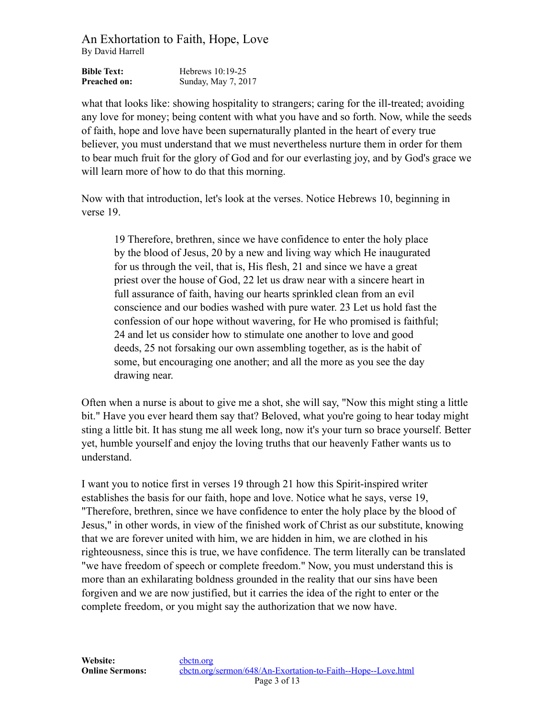| <b>Bible Text:</b>  | Hebrews $10:19-25$  |
|---------------------|---------------------|
| <b>Preached on:</b> | Sunday, May 7, 2017 |

what that looks like: showing hospitality to strangers; caring for the ill-treated; avoiding any love for money; being content with what you have and so forth. Now, while the seeds of faith, hope and love have been supernaturally planted in the heart of every true believer, you must understand that we must nevertheless nurture them in order for them to bear much fruit for the glory of God and for our everlasting joy, and by God's grace we will learn more of how to do that this morning.

Now with that introduction, let's look at the verses. Notice Hebrews 10, beginning in verse 19.

19 Therefore, brethren, since we have confidence to enter the holy place by the blood of Jesus, 20 by a new and living way which He inaugurated for us through the veil, that is, His flesh, 21 and since we have a great priest over the house of God, 22 let us draw near with a sincere heart in full assurance of faith, having our hearts sprinkled clean from an evil conscience and our bodies washed with pure water. 23 Let us hold fast the confession of our hope without wavering, for He who promised is faithful; 24 and let us consider how to stimulate one another to love and good deeds, 25 not forsaking our own assembling together, as is the habit of some, but encouraging one another; and all the more as you see the day drawing near.

Often when a nurse is about to give me a shot, she will say, "Now this might sting a little bit." Have you ever heard them say that? Beloved, what you're going to hear today might sting a little bit. It has stung me all week long, now it's your turn so brace yourself. Better yet, humble yourself and enjoy the loving truths that our heavenly Father wants us to understand.

I want you to notice first in verses 19 through 21 how this Spirit-inspired writer establishes the basis for our faith, hope and love. Notice what he says, verse 19, "Therefore, brethren, since we have confidence to enter the holy place by the blood of Jesus," in other words, in view of the finished work of Christ as our substitute, knowing that we are forever united with him, we are hidden in him, we are clothed in his righteousness, since this is true, we have confidence. The term literally can be translated "we have freedom of speech or complete freedom." Now, you must understand this is more than an exhilarating boldness grounded in the reality that our sins have been forgiven and we are now justified, but it carries the idea of the right to enter or the complete freedom, or you might say the authorization that we now have.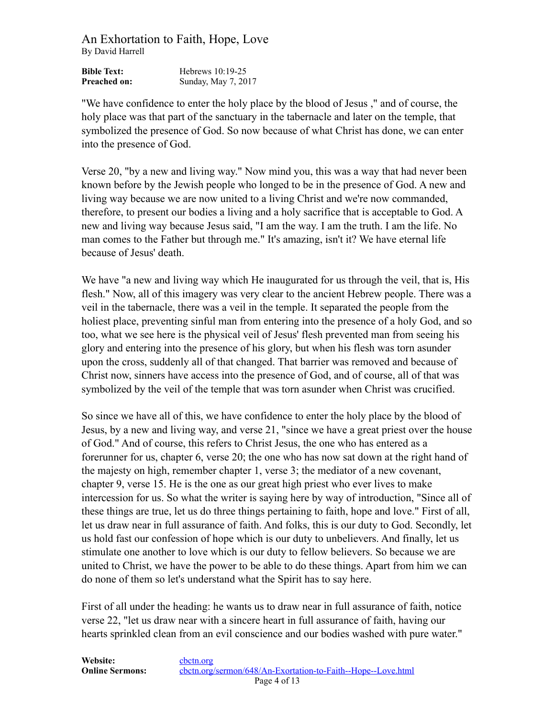| <b>Bible Text:</b>  | Hebrews $10:19-25$  |
|---------------------|---------------------|
| <b>Preached on:</b> | Sunday, May 7, 2017 |

"We have confidence to enter the holy place by the blood of Jesus ," and of course, the holy place was that part of the sanctuary in the tabernacle and later on the temple, that symbolized the presence of God. So now because of what Christ has done, we can enter into the presence of God.

Verse 20, "by a new and living way." Now mind you, this was a way that had never been known before by the Jewish people who longed to be in the presence of God. A new and living way because we are now united to a living Christ and we're now commanded, therefore, to present our bodies a living and a holy sacrifice that is acceptable to God. A new and living way because Jesus said, "I am the way. I am the truth. I am the life. No man comes to the Father but through me." It's amazing, isn't it? We have eternal life because of Jesus' death.

We have "a new and living way which He inaugurated for us through the veil, that is, His flesh." Now, all of this imagery was very clear to the ancient Hebrew people. There was a veil in the tabernacle, there was a veil in the temple. It separated the people from the holiest place, preventing sinful man from entering into the presence of a holy God, and so too, what we see here is the physical veil of Jesus' flesh prevented man from seeing his glory and entering into the presence of his glory, but when his flesh was torn asunder upon the cross, suddenly all of that changed. That barrier was removed and because of Christ now, sinners have access into the presence of God, and of course, all of that was symbolized by the veil of the temple that was torn asunder when Christ was crucified.

So since we have all of this, we have confidence to enter the holy place by the blood of Jesus, by a new and living way, and verse 21, "since we have a great priest over the house of God." And of course, this refers to Christ Jesus, the one who has entered as a forerunner for us, chapter 6, verse 20; the one who has now sat down at the right hand of the majesty on high, remember chapter 1, verse 3; the mediator of a new covenant, chapter 9, verse 15. He is the one as our great high priest who ever lives to make intercession for us. So what the writer is saying here by way of introduction, "Since all of these things are true, let us do three things pertaining to faith, hope and love." First of all, let us draw near in full assurance of faith. And folks, this is our duty to God. Secondly, let us hold fast our confession of hope which is our duty to unbelievers. And finally, let us stimulate one another to love which is our duty to fellow believers. So because we are united to Christ, we have the power to be able to do these things. Apart from him we can do none of them so let's understand what the Spirit has to say here.

First of all under the heading: he wants us to draw near in full assurance of faith, notice verse 22, "let us draw near with a sincere heart in full assurance of faith, having our hearts sprinkled clean from an evil conscience and our bodies washed with pure water."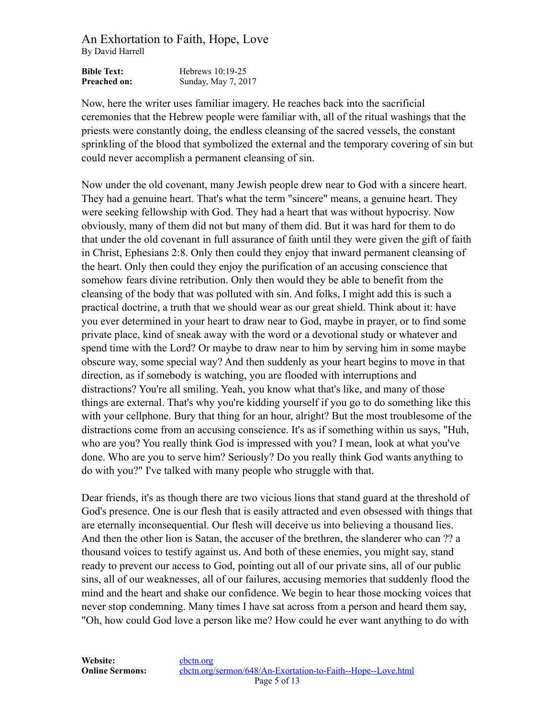| <b>Bible Text:</b>  | Hebrews $10:19-25$  |
|---------------------|---------------------|
| <b>Preached on:</b> | Sunday, May 7, 2017 |

Now, here the writer uses familiar imagery. He reaches back into the sacrificial ceremonies that the Hebrew people were familiar with, all of the ritual washings that the priests were constantly doing, the endless cleansing of the sacred vessels, the constant sprinkling of the blood that symbolized the external and the temporary covering of sin but could never accomplish a permanent cleansing of sin.

Now under the old covenant, many Jewish people drew near to God with a sincere heart. They had a genuine heart. That's what the term "sincere" means, a genuine heart. They were seeking fellowship with God. They had a heart that was without hypocrisy. Now obviously, many of them did not but many of them did. But it was hard for them to do that under the old covenant in full assurance of faith until they were given the gift of faith in Christ, Ephesians 2:8. Only then could they enjoy that inward permanent cleansing of the heart. Only then could they enjoy the purification of an accusing conscience that somehow fears divine retribution. Only then would they be able to benefit from the cleansing of the body that was polluted with sin. And folks, I might add this is such a practical doctrine, a truth that we should wear as our great shield. Think about it: have you ever determined in your heart to draw near to God, maybe in prayer, or to find some private place, kind of sneak away with the word or a devotional study or whatever and spend time with the Lord? Or maybe to draw near to him by serving him in some maybe obscure way, some special way? And then suddenly as your heart begins to move in that direction, as if somebody is watching, you are flooded with interruptions and distractions? You're all smiling. Yeah, you know what that's like, and many of those things are external. That's why you're kidding yourself if you go to do something like this with your cellphone. Bury that thing for an hour, alright? But the most troublesome of the distractions come from an accusing conscience. It's as if something within us says, "Huh, who are you? You really think God is impressed with you? I mean, look at what you've done. Who are you to serve him? Seriously? Do you really think God wants anything to do with you?" I've talked with many people who struggle with that.

Dear friends, it's as though there are two vicious lions that stand guard at the threshold of God's presence. One is our flesh that is easily attracted and even obsessed with things that are eternally inconsequential. Our flesh will deceive us into believing a thousand lies. And then the other lion is Satan, the accuser of the brethren, the slanderer who can ?? a thousand voices to testify against us. And both of these enemies, you might say, stand ready to prevent our access to God, pointing out all of our private sins, all of our public sins, all of our weaknesses, all of our failures, accusing memories that suddenly flood the mind and the heart and shake our confidence. We begin to hear those mocking voices that never stop condemning. Many times I have sat across from a person and heard them say, "Oh, how could God love a person like me? How could he ever want anything to do with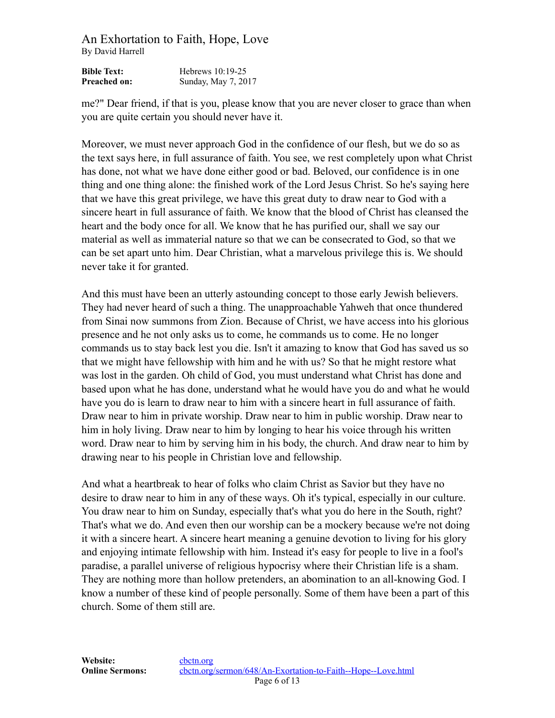| <b>Bible Text:</b>  | Hebrews $10:19-25$  |
|---------------------|---------------------|
| <b>Preached on:</b> | Sunday, May 7, 2017 |

me?" Dear friend, if that is you, please know that you are never closer to grace than when you are quite certain you should never have it.

Moreover, we must never approach God in the confidence of our flesh, but we do so as the text says here, in full assurance of faith. You see, we rest completely upon what Christ has done, not what we have done either good or bad. Beloved, our confidence is in one thing and one thing alone: the finished work of the Lord Jesus Christ. So he's saying here that we have this great privilege, we have this great duty to draw near to God with a sincere heart in full assurance of faith. We know that the blood of Christ has cleansed the heart and the body once for all. We know that he has purified our, shall we say our material as well as immaterial nature so that we can be consecrated to God, so that we can be set apart unto him. Dear Christian, what a marvelous privilege this is. We should never take it for granted.

And this must have been an utterly astounding concept to those early Jewish believers. They had never heard of such a thing. The unapproachable Yahweh that once thundered from Sinai now summons from Zion. Because of Christ, we have access into his glorious presence and he not only asks us to come, he commands us to come. He no longer commands us to stay back lest you die. Isn't it amazing to know that God has saved us so that we might have fellowship with him and he with us? So that he might restore what was lost in the garden. Oh child of God, you must understand what Christ has done and based upon what he has done, understand what he would have you do and what he would have you do is learn to draw near to him with a sincere heart in full assurance of faith. Draw near to him in private worship. Draw near to him in public worship. Draw near to him in holy living. Draw near to him by longing to hear his voice through his written word. Draw near to him by serving him in his body, the church. And draw near to him by drawing near to his people in Christian love and fellowship.

And what a heartbreak to hear of folks who claim Christ as Savior but they have no desire to draw near to him in any of these ways. Oh it's typical, especially in our culture. You draw near to him on Sunday, especially that's what you do here in the South, right? That's what we do. And even then our worship can be a mockery because we're not doing it with a sincere heart. A sincere heart meaning a genuine devotion to living for his glory and enjoying intimate fellowship with him. Instead it's easy for people to live in a fool's paradise, a parallel universe of religious hypocrisy where their Christian life is a sham. They are nothing more than hollow pretenders, an abomination to an all-knowing God. I know a number of these kind of people personally. Some of them have been a part of this church. Some of them still are.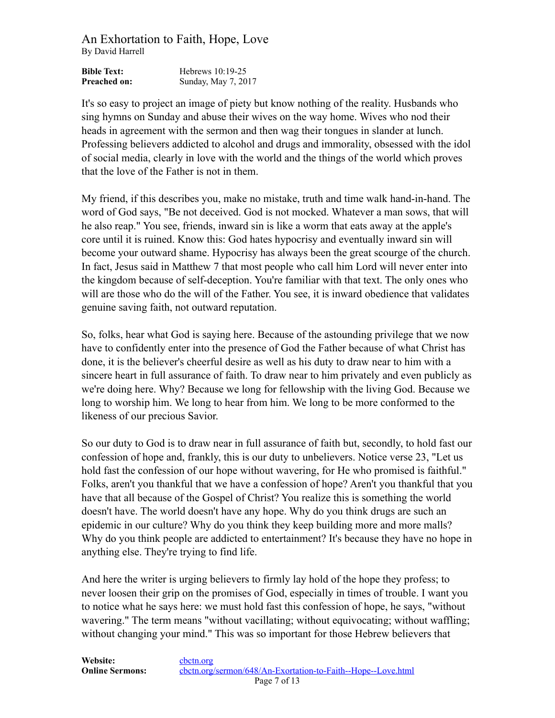| <b>Bible Text:</b>  | Hebrews $10:19-25$  |
|---------------------|---------------------|
| <b>Preached on:</b> | Sunday, May 7, 2017 |

It's so easy to project an image of piety but know nothing of the reality. Husbands who sing hymns on Sunday and abuse their wives on the way home. Wives who nod their heads in agreement with the sermon and then wag their tongues in slander at lunch. Professing believers addicted to alcohol and drugs and immorality, obsessed with the idol of social media, clearly in love with the world and the things of the world which proves that the love of the Father is not in them.

My friend, if this describes you, make no mistake, truth and time walk hand-in-hand. The word of God says, "Be not deceived. God is not mocked. Whatever a man sows, that will he also reap." You see, friends, inward sin is like a worm that eats away at the apple's core until it is ruined. Know this: God hates hypocrisy and eventually inward sin will become your outward shame. Hypocrisy has always been the great scourge of the church. In fact, Jesus said in Matthew 7 that most people who call him Lord will never enter into the kingdom because of self-deception. You're familiar with that text. The only ones who will are those who do the will of the Father. You see, it is inward obedience that validates genuine saving faith, not outward reputation.

So, folks, hear what God is saying here. Because of the astounding privilege that we now have to confidently enter into the presence of God the Father because of what Christ has done, it is the believer's cheerful desire as well as his duty to draw near to him with a sincere heart in full assurance of faith. To draw near to him privately and even publicly as we're doing here. Why? Because we long for fellowship with the living God. Because we long to worship him. We long to hear from him. We long to be more conformed to the likeness of our precious Savior.

So our duty to God is to draw near in full assurance of faith but, secondly, to hold fast our confession of hope and, frankly, this is our duty to unbelievers. Notice verse 23, "Let us hold fast the confession of our hope without wavering, for He who promised is faithful." Folks, aren't you thankful that we have a confession of hope? Aren't you thankful that you have that all because of the Gospel of Christ? You realize this is something the world doesn't have. The world doesn't have any hope. Why do you think drugs are such an epidemic in our culture? Why do you think they keep building more and more malls? Why do you think people are addicted to entertainment? It's because they have no hope in anything else. They're trying to find life.

And here the writer is urging believers to firmly lay hold of the hope they profess; to never loosen their grip on the promises of God, especially in times of trouble. I want you to notice what he says here: we must hold fast this confession of hope, he says, "without wavering." The term means "without vacillating; without equivocating; without waffling; without changing your mind." This was so important for those Hebrew believers that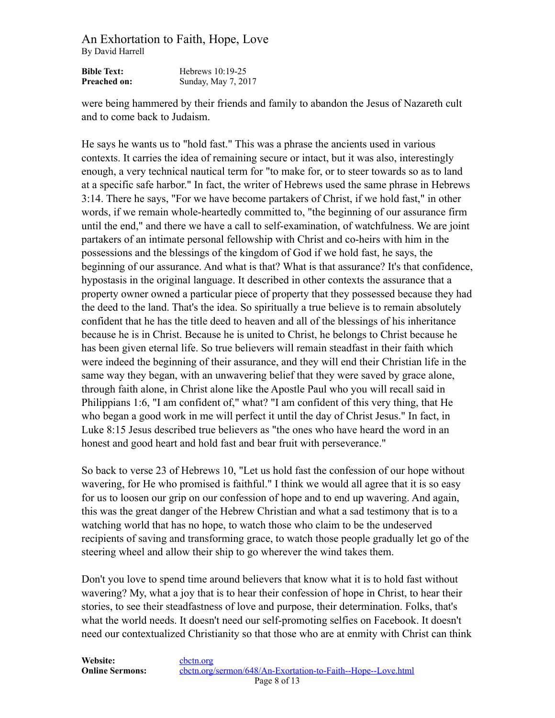| <b>Bible Text:</b>  | Hebrews $10:19-25$  |
|---------------------|---------------------|
| <b>Preached on:</b> | Sunday, May 7, 2017 |

were being hammered by their friends and family to abandon the Jesus of Nazareth cult and to come back to Judaism.

He says he wants us to "hold fast." This was a phrase the ancients used in various contexts. It carries the idea of remaining secure or intact, but it was also, interestingly enough, a very technical nautical term for "to make for, or to steer towards so as to land at a specific safe harbor." In fact, the writer of Hebrews used the same phrase in Hebrews 3:14. There he says, "For we have become partakers of Christ, if we hold fast," in other words, if we remain whole-heartedly committed to, "the beginning of our assurance firm until the end," and there we have a call to self-examination, of watchfulness. We are joint partakers of an intimate personal fellowship with Christ and co-heirs with him in the possessions and the blessings of the kingdom of God if we hold fast, he says, the beginning of our assurance. And what is that? What is that assurance? It's that confidence, hypostasis in the original language. It described in other contexts the assurance that a property owner owned a particular piece of property that they possessed because they had the deed to the land. That's the idea. So spiritually a true believe is to remain absolutely confident that he has the title deed to heaven and all of the blessings of his inheritance because he is in Christ. Because he is united to Christ, he belongs to Christ because he has been given eternal life. So true believers will remain steadfast in their faith which were indeed the beginning of their assurance, and they will end their Christian life in the same way they began, with an unwavering belief that they were saved by grace alone, through faith alone, in Christ alone like the Apostle Paul who you will recall said in Philippians 1:6, "I am confident of," what? "I am confident of this very thing, that He who began a good work in me will perfect it until the day of Christ Jesus." In fact, in Luke 8:15 Jesus described true believers as "the ones who have heard the word in an honest and good heart and hold fast and bear fruit with perseverance."

So back to verse 23 of Hebrews 10, "Let us hold fast the confession of our hope without wavering, for He who promised is faithful." I think we would all agree that it is so easy for us to loosen our grip on our confession of hope and to end up wavering. And again, this was the great danger of the Hebrew Christian and what a sad testimony that is to a watching world that has no hope, to watch those who claim to be the undeserved recipients of saving and transforming grace, to watch those people gradually let go of the steering wheel and allow their ship to go wherever the wind takes them.

Don't you love to spend time around believers that know what it is to hold fast without wavering? My, what a joy that is to hear their confession of hope in Christ, to hear their stories, to see their steadfastness of love and purpose, their determination. Folks, that's what the world needs. It doesn't need our self-promoting selfies on Facebook. It doesn't need our contextualized Christianity so that those who are at enmity with Christ can think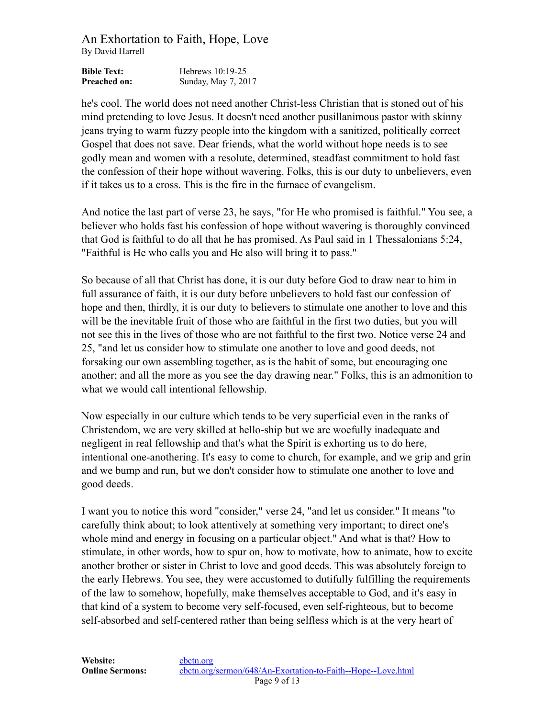| <b>Bible Text:</b>  | Hebrews $10:19-25$  |
|---------------------|---------------------|
| <b>Preached on:</b> | Sunday, May 7, 2017 |

he's cool. The world does not need another Christ-less Christian that is stoned out of his mind pretending to love Jesus. It doesn't need another pusillanimous pastor with skinny jeans trying to warm fuzzy people into the kingdom with a sanitized, politically correct Gospel that does not save. Dear friends, what the world without hope needs is to see godly mean and women with a resolute, determined, steadfast commitment to hold fast the confession of their hope without wavering. Folks, this is our duty to unbelievers, even if it takes us to a cross. This is the fire in the furnace of evangelism.

And notice the last part of verse 23, he says, "for He who promised is faithful." You see, a believer who holds fast his confession of hope without wavering is thoroughly convinced that God is faithful to do all that he has promised. As Paul said in 1 Thessalonians 5:24, "Faithful is He who calls you and He also will bring it to pass."

So because of all that Christ has done, it is our duty before God to draw near to him in full assurance of faith, it is our duty before unbelievers to hold fast our confession of hope and then, thirdly, it is our duty to believers to stimulate one another to love and this will be the inevitable fruit of those who are faithful in the first two duties, but you will not see this in the lives of those who are not faithful to the first two. Notice verse 24 and 25, "and let us consider how to stimulate one another to love and good deeds, not forsaking our own assembling together, as is the habit of some, but encouraging one another; and all the more as you see the day drawing near." Folks, this is an admonition to what we would call intentional fellowship.

Now especially in our culture which tends to be very superficial even in the ranks of Christendom, we are very skilled at hello-ship but we are woefully inadequate and negligent in real fellowship and that's what the Spirit is exhorting us to do here, intentional one-anothering. It's easy to come to church, for example, and we grip and grin and we bump and run, but we don't consider how to stimulate one another to love and good deeds.

I want you to notice this word "consider," verse 24, "and let us consider." It means "to carefully think about; to look attentively at something very important; to direct one's whole mind and energy in focusing on a particular object." And what is that? How to stimulate, in other words, how to spur on, how to motivate, how to animate, how to excite another brother or sister in Christ to love and good deeds. This was absolutely foreign to the early Hebrews. You see, they were accustomed to dutifully fulfilling the requirements of the law to somehow, hopefully, make themselves acceptable to God, and it's easy in that kind of a system to become very self-focused, even self-righteous, but to become self-absorbed and self-centered rather than being selfless which is at the very heart of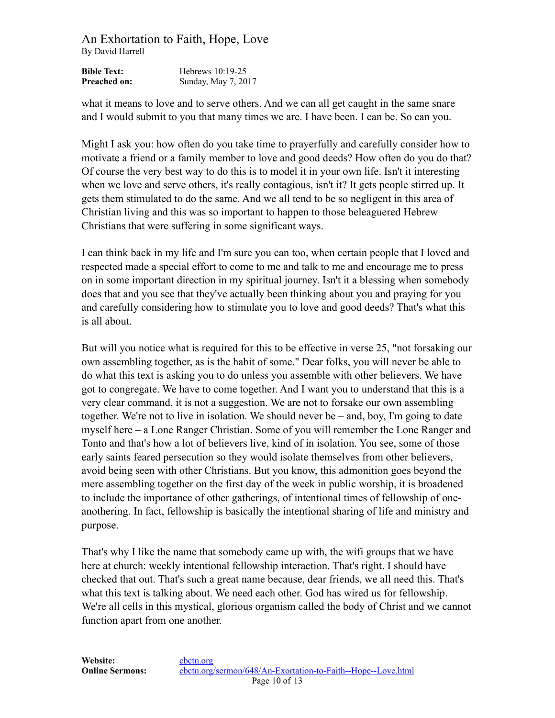| <b>Bible Text:</b>  | Hebrews $10:19-25$  |
|---------------------|---------------------|
| <b>Preached on:</b> | Sunday, May 7, 2017 |

what it means to love and to serve others. And we can all get caught in the same snare and I would submit to you that many times we are. I have been. I can be. So can you.

Might I ask you: how often do you take time to prayerfully and carefully consider how to motivate a friend or a family member to love and good deeds? How often do you do that? Of course the very best way to do this is to model it in your own life. Isn't it interesting when we love and serve others, it's really contagious, isn't it? It gets people stirred up. It gets them stimulated to do the same. And we all tend to be so negligent in this area of Christian living and this was so important to happen to those beleaguered Hebrew Christians that were suffering in some significant ways.

I can think back in my life and I'm sure you can too, when certain people that I loved and respected made a special effort to come to me and talk to me and encourage me to press on in some important direction in my spiritual journey. Isn't it a blessing when somebody does that and you see that they've actually been thinking about you and praying for you and carefully considering how to stimulate you to love and good deeds? That's what this is all about.

But will you notice what is required for this to be effective in verse 25, "not forsaking our own assembling together, as is the habit of some." Dear folks, you will never be able to do what this text is asking you to do unless you assemble with other believers. We have got to congregate. We have to come together. And I want you to understand that this is a very clear command, it is not a suggestion. We are not to forsake our own assembling together. We're not to live in isolation. We should never be – and, boy, I'm going to date myself here – a Lone Ranger Christian. Some of you will remember the Lone Ranger and Tonto and that's how a lot of believers live, kind of in isolation. You see, some of those early saints feared persecution so they would isolate themselves from other believers, avoid being seen with other Christians. But you know, this admonition goes beyond the mere assembling together on the first day of the week in public worship, it is broadened to include the importance of other gatherings, of intentional times of fellowship of oneanothering. In fact, fellowship is basically the intentional sharing of life and ministry and purpose.

That's why I like the name that somebody came up with, the wifi groups that we have here at church: weekly intentional fellowship interaction. That's right. I should have checked that out. That's such a great name because, dear friends, we all need this. That's what this text is talking about. We need each other. God has wired us for fellowship. We're all cells in this mystical, glorious organism called the body of Christ and we cannot function apart from one another.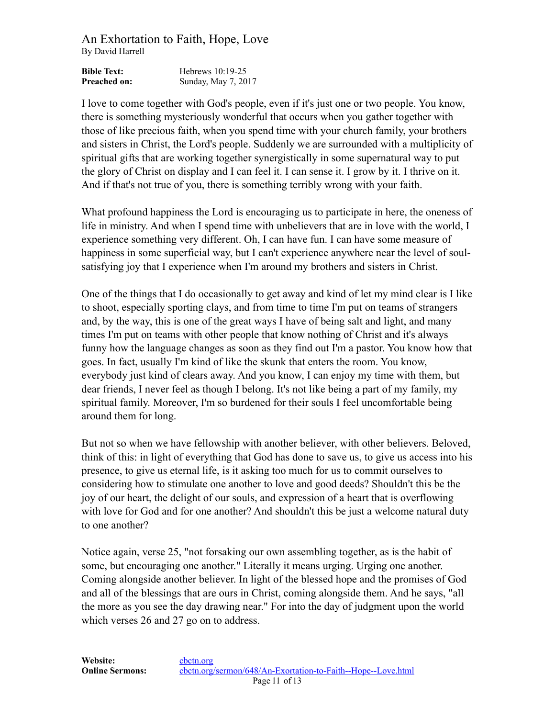| <b>Bible Text:</b>  | Hebrews $10:19-25$  |
|---------------------|---------------------|
| <b>Preached on:</b> | Sunday, May 7, 2017 |

I love to come together with God's people, even if it's just one or two people. You know, there is something mysteriously wonderful that occurs when you gather together with those of like precious faith, when you spend time with your church family, your brothers and sisters in Christ, the Lord's people. Suddenly we are surrounded with a multiplicity of spiritual gifts that are working together synergistically in some supernatural way to put the glory of Christ on display and I can feel it. I can sense it. I grow by it. I thrive on it. And if that's not true of you, there is something terribly wrong with your faith.

What profound happiness the Lord is encouraging us to participate in here, the oneness of life in ministry. And when I spend time with unbelievers that are in love with the world, I experience something very different. Oh, I can have fun. I can have some measure of happiness in some superficial way, but I can't experience anywhere near the level of soulsatisfying joy that I experience when I'm around my brothers and sisters in Christ.

One of the things that I do occasionally to get away and kind of let my mind clear is I like to shoot, especially sporting clays, and from time to time I'm put on teams of strangers and, by the way, this is one of the great ways I have of being salt and light, and many times I'm put on teams with other people that know nothing of Christ and it's always funny how the language changes as soon as they find out I'm a pastor. You know how that goes. In fact, usually I'm kind of like the skunk that enters the room. You know, everybody just kind of clears away. And you know, I can enjoy my time with them, but dear friends, I never feel as though I belong. It's not like being a part of my family, my spiritual family. Moreover, I'm so burdened for their souls I feel uncomfortable being around them for long.

But not so when we have fellowship with another believer, with other believers. Beloved, think of this: in light of everything that God has done to save us, to give us access into his presence, to give us eternal life, is it asking too much for us to commit ourselves to considering how to stimulate one another to love and good deeds? Shouldn't this be the joy of our heart, the delight of our souls, and expression of a heart that is overflowing with love for God and for one another? And shouldn't this be just a welcome natural duty to one another?

Notice again, verse 25, "not forsaking our own assembling together, as is the habit of some, but encouraging one another." Literally it means urging. Urging one another. Coming alongside another believer. In light of the blessed hope and the promises of God and all of the blessings that are ours in Christ, coming alongside them. And he says, "all the more as you see the day drawing near." For into the day of judgment upon the world which verses 26 and 27 go on to address.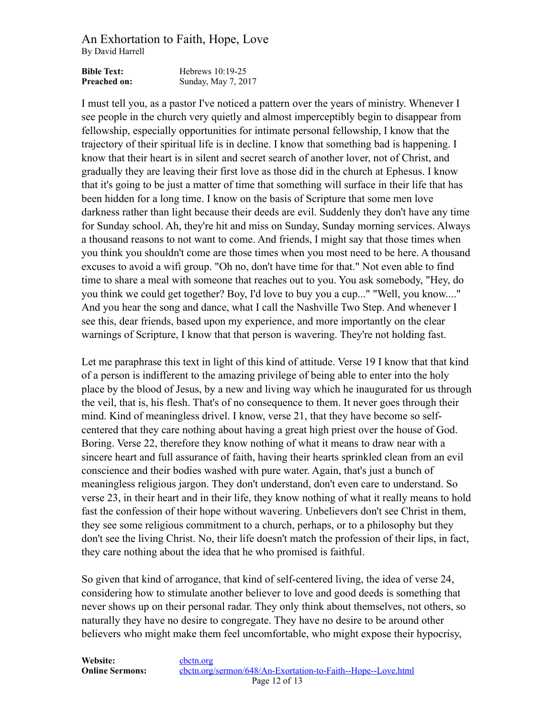| <b>Bible Text:</b>  | Hebrews $10:19-25$  |
|---------------------|---------------------|
| <b>Preached on:</b> | Sunday, May 7, 2017 |

I must tell you, as a pastor I've noticed a pattern over the years of ministry. Whenever I see people in the church very quietly and almost imperceptibly begin to disappear from fellowship, especially opportunities for intimate personal fellowship, I know that the trajectory of their spiritual life is in decline. I know that something bad is happening. I know that their heart is in silent and secret search of another lover, not of Christ, and gradually they are leaving their first love as those did in the church at Ephesus. I know that it's going to be just a matter of time that something will surface in their life that has been hidden for a long time. I know on the basis of Scripture that some men love darkness rather than light because their deeds are evil. Suddenly they don't have any time for Sunday school. Ah, they're hit and miss on Sunday, Sunday morning services. Always a thousand reasons to not want to come. And friends, I might say that those times when you think you shouldn't come are those times when you most need to be here. A thousand excuses to avoid a wifi group. "Oh no, don't have time for that." Not even able to find time to share a meal with someone that reaches out to you. You ask somebody, "Hey, do you think we could get together? Boy, I'd love to buy you a cup..." "Well, you know...." And you hear the song and dance, what I call the Nashville Two Step. And whenever I see this, dear friends, based upon my experience, and more importantly on the clear warnings of Scripture, I know that that person is wavering. They're not holding fast.

Let me paraphrase this text in light of this kind of attitude. Verse 19 I know that that kind of a person is indifferent to the amazing privilege of being able to enter into the holy place by the blood of Jesus, by a new and living way which he inaugurated for us through the veil, that is, his flesh. That's of no consequence to them. It never goes through their mind. Kind of meaningless drivel. I know, verse 21, that they have become so selfcentered that they care nothing about having a great high priest over the house of God. Boring. Verse 22, therefore they know nothing of what it means to draw near with a sincere heart and full assurance of faith, having their hearts sprinkled clean from an evil conscience and their bodies washed with pure water. Again, that's just a bunch of meaningless religious jargon. They don't understand, don't even care to understand. So verse 23, in their heart and in their life, they know nothing of what it really means to hold fast the confession of their hope without wavering. Unbelievers don't see Christ in them, they see some religious commitment to a church, perhaps, or to a philosophy but they don't see the living Christ. No, their life doesn't match the profession of their lips, in fact, they care nothing about the idea that he who promised is faithful.

So given that kind of arrogance, that kind of self-centered living, the idea of verse 24, considering how to stimulate another believer to love and good deeds is something that never shows up on their personal radar. They only think about themselves, not others, so naturally they have no desire to congregate. They have no desire to be around other believers who might make them feel uncomfortable, who might expose their hypocrisy,